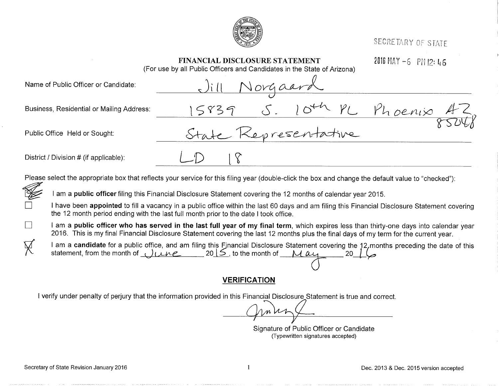

SECRETARY OF STATE

|        | <b>FINANCIAL DISCLOSURE STATEMENT</b><br>(For use by all Public Officers and Candidates in the State of Arizona)                                                                                                                                                                          | 2016 MAY $-6$ PM 12: 46 |
|--------|-------------------------------------------------------------------------------------------------------------------------------------------------------------------------------------------------------------------------------------------------------------------------------------------|-------------------------|
|        | Norgaard<br>Name of Public Officer or Candidate:                                                                                                                                                                                                                                          |                         |
|        | 15839 S. 10th PL<br>Business, Residential or Mailing Address:                                                                                                                                                                                                                             | Phoenix A               |
|        | State Representative<br>Public Office Held or Sought:                                                                                                                                                                                                                                     |                         |
|        | District / Division # (if applicable):                                                                                                                                                                                                                                                    |                         |
|        | Please select the appropriate box that reflects your service for this filing year (double-click the box and change the default value to "checked"):                                                                                                                                       |                         |
| 嘐      | I am a public officer filing this Financial Disclosure Statement covering the 12 months of calendar year 2015.                                                                                                                                                                            |                         |
| $\Box$ | I have been appointed to fill a vacancy in a public office within the last 60 days and am filing this Financial Disclosure Statement covering<br>the 12 month period ending with the last full month prior to the date I took office.                                                     |                         |
| $\Box$ | I am a <b>public officer who has served in the last full year of my final term</b> , which expires less than thirty-one days into calendar year<br>2016. This is my final Financial Disclosure Statement covering the last 12 months plus the final days of my term for the current year. |                         |
| Ŗ      | I am a candidate for a public office, and am filing this Fjnancial Disclosure Statement covering the 12, months preceding the date of this<br>statement, from the month of <i>UURE</i> 2015, to the month of May                                                                          |                         |

# **VERIFICATION**

I verify under penalty of perjury that the information provided in this Financial Disclosure Statement is true and correct.

Signature of Public Officer or Candidate (Typewritten signatures accepted)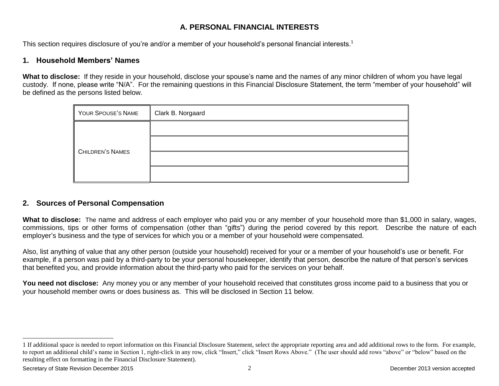## **A. PERSONAL FINANCIAL INTERESTS**

This section requires disclosure of you're and/or a member of your household's personal financial interests.<sup>1</sup>

## **1. Household Members' Names**

**What to disclose:** If they reside in your household, disclose your spouse's name and the names of any minor children of whom you have legal custody. If none, please write "N/A". For the remaining questions in this Financial Disclosure Statement, the term "member of your household" will be defined as the persons listed below.

| YOUR SPOUSE'S NAME | Clark B. Norgaard |
|--------------------|-------------------|
|                    |                   |
| CHILDREN'S NAMES   |                   |
|                    |                   |
|                    |                   |

## **2. Sources of Personal Compensation**

**What to disclose:** The name and address of each employer who paid you or any member of your household more than \$1,000 in salary, wages, commissions, tips or other forms of compensation (other than "gifts") during the period covered by this report. Describe the nature of each employer's business and the type of services for which you or a member of your household were compensated.

Also, list anything of value that any other person (outside your household) received for your or a member of your household's use or benefit. For example, if a person was paid by a third-party to be your personal housekeeper, identify that person, describe the nature of that person's services that benefited you, and provide information about the third-party who paid for the services on your behalf.

**You need not disclose:** Any money you or any member of your household received that constitutes gross income paid to a business that you or your household member owns or does business as. This will be disclosed in Section 11 below.

l

<sup>1</sup> If additional space is needed to report information on this Financial Disclosure Statement, select the appropriate reporting area and add additional rows to the form. For example, to report an additional child's name in Section 1, right-click in any row, click "Insert," click "Insert Rows Above." (The user should add rows "above" or "below" based on the resulting effect on formatting in the Financial Disclosure Statement).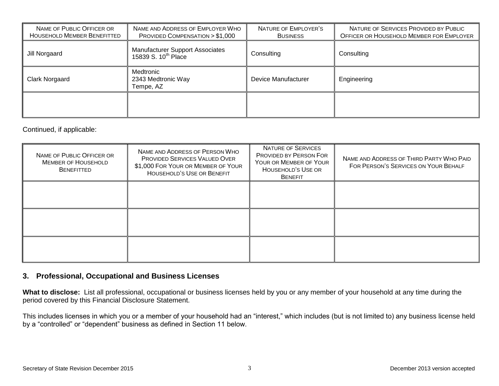| NAME OF PUBLIC OFFICER OR<br>HOUSEHOLD MEMBER BENEFITTED | NAME AND ADDRESS OF EMPLOYER WHO<br>PROVIDED COMPENSATION $> $1,000$      | NATURE OF EMPLOYER'S<br><b>BUSINESS</b> | NATURE OF SERVICES PROVIDED BY PUBLIC<br>OFFICER OR HOUSEHOLD MEMBER FOR EMPLOYER |
|----------------------------------------------------------|---------------------------------------------------------------------------|-----------------------------------------|-----------------------------------------------------------------------------------|
| Jill Norgaard                                            | <b>Manufacturer Support Associates</b><br>15839 S. 10 <sup>th</sup> Place | Consulting                              | Consulting                                                                        |
| Clark Norgaard                                           | Medtronic<br>2343 Medtronic Way<br>Tempe, AZ                              | Device Manufacturer                     | Engineering                                                                       |
|                                                          |                                                                           |                                         |                                                                                   |

Continued, if applicable:

| NAME OF PUBLIC OFFICER OR<br><b>MEMBER OF HOUSEHOLD</b><br><b>BENEFITTED</b> | NAME AND ADDRESS OF PERSON WHO<br>PROVIDED SERVICES VALUED OVER<br>\$1,000 FOR YOUR OR MEMBER OF YOUR<br><b>HOUSEHOLD'S USE OR BENEFIT</b> | NATURE OF SERVICES<br><b>PROVIDED BY PERSON FOR</b><br>YOUR OR MEMBER OF YOUR<br>HOUSEHOLD'S USE OR<br><b>BENEFIT</b> | NAME AND ADDRESS OF THIRD PARTY WHO PAID<br>FOR PERSON'S SERVICES ON YOUR BEHALF |
|------------------------------------------------------------------------------|--------------------------------------------------------------------------------------------------------------------------------------------|-----------------------------------------------------------------------------------------------------------------------|----------------------------------------------------------------------------------|
|                                                                              |                                                                                                                                            |                                                                                                                       |                                                                                  |
|                                                                              |                                                                                                                                            |                                                                                                                       |                                                                                  |
|                                                                              |                                                                                                                                            |                                                                                                                       |                                                                                  |

#### **3. Professional, Occupational and Business Licenses**

**What to disclose:** List all professional, occupational or business licenses held by you or any member of your household at any time during the period covered by this Financial Disclosure Statement.

This includes licenses in which you or a member of your household had an "interest," which includes (but is not limited to) any business license held by a "controlled" or "dependent" business as defined in Section 11 below.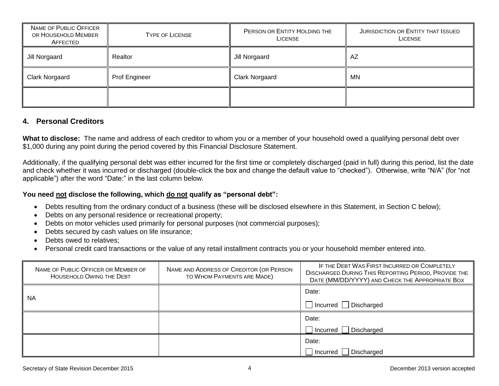| NAME OF PUBLIC OFFICER<br>OR HOUSEHOLD MEMBER<br><b>TYPE OF LICENSE</b><br>AFFECTED |               | PERSON OR ENTITY HOLDING THE<br><b>LICENSE</b> | JURISDICTION OR ENTITY THAT ISSUED<br>LICENSE |
|-------------------------------------------------------------------------------------|---------------|------------------------------------------------|-----------------------------------------------|
| Realtor<br>Jill Norgaard                                                            |               | Jill Norgaard                                  | AZ                                            |
| <b>Clark Norgaard</b>                                                               | Prof Engineer | <b>Clark Norgaard</b>                          | ΜN                                            |
|                                                                                     |               |                                                |                                               |

#### **4. Personal Creditors**

**What to disclose:** The name and address of each creditor to whom you or a member of your household owed a qualifying personal debt over \$1,000 during any point during the period covered by this Financial Disclosure Statement.

Additionally, if the qualifying personal debt was either incurred for the first time or completely discharged (paid in full) during this period, list the date and check whether it was incurred or discharged (double-click the box and change the default value to "checked"). Otherwise, write "N/A" (for "not applicable") after the word "Date:" in the last column below.

#### **You need not disclose the following, which do not qualify as "personal debt":**

- Debts resulting from the ordinary conduct of a business (these will be disclosed elsewhere in this Statement, in Section C below);
- Debts on any personal residence or recreational property;
- Debts on motor vehicles used primarily for personal purposes (not commercial purposes);
- Debts secured by cash values on life insurance;
- Debts owed to relatives;
- Personal credit card transactions or the value of any retail installment contracts you or your household member entered into.

| NAME OF PUBLIC OFFICER OR MEMBER OF<br>HOUSEHOLD OWING THE DEBT | NAME AND ADDRESS OF CREDITOR (OR PERSON<br>TO WHOM PAYMENTS ARE MADE) | IF THE DEBT WAS FIRST INCURRED OR COMPLETELY<br><b>DISCHARGED DURING THIS REPORTING PERIOD, PROVIDE THE</b><br>DATE (MM/DD/YYYY) AND CHECK THE APPROPRIATE BOX |
|-----------------------------------------------------------------|-----------------------------------------------------------------------|----------------------------------------------------------------------------------------------------------------------------------------------------------------|
| <b>NA</b>                                                       |                                                                       | Date:                                                                                                                                                          |
|                                                                 |                                                                       | $\Box$ Incurred $\Box$ Discharged                                                                                                                              |
|                                                                 |                                                                       | Date:                                                                                                                                                          |
|                                                                 |                                                                       | Incurred   Discharged                                                                                                                                          |
|                                                                 |                                                                       | Date:                                                                                                                                                          |
|                                                                 |                                                                       | Incurred   Discharged                                                                                                                                          |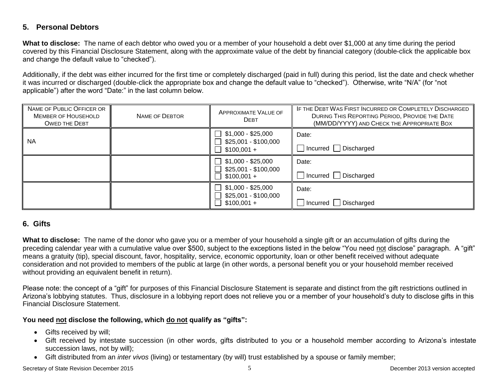## **5. Personal Debtors**

**What to disclose:** The name of each debtor who owed you or a member of your household a debt over \$1,000 at any time during the period covered by this Financial Disclosure Statement, along with the approximate value of the debt by financial category (double-click the applicable box and change the default value to "checked").

Additionally, if the debt was either incurred for the first time or completely discharged (paid in full) during this period, list the date and check whether it was incurred or discharged (double-click the appropriate box and change the default value to "checked"). Otherwise, write "N/A" (for "not applicable") after the word "Date:" in the last column below.

| NAME OF PUBLIC OFFICER OR<br><b>MEMBER OF HOUSEHOLD</b><br><b>OWED THE DEBT</b> | NAME OF DEBTOR | <b>APPROXIMATE VALUE OF</b><br><b>DEBT</b>                                                            | IF THE DEBT WAS FIRST INCURRED OR COMPLETELY DISCHARGED<br>DURING THIS REPORTING PERIOD, PROVIDE THE DATE<br>(MM/DD/YYYY) AND CHECK THE APPROPRIATE BOX |
|---------------------------------------------------------------------------------|----------------|-------------------------------------------------------------------------------------------------------|---------------------------------------------------------------------------------------------------------------------------------------------------------|
| <b>NA</b>                                                                       |                | $\Box$ \$1,000 - \$25,000<br>\$25,001 - \$100,000<br>$\blacksquare$<br>$$100,001 +$<br>$\blacksquare$ | Date:<br>$\Box$ Incurred $\Box$ Discharged                                                                                                              |
|                                                                                 |                | $$1,000 - $25,000$<br>$\mathbf{1}$<br>\$25,001 - \$100,000<br>$$100,001 +$                            | Date:<br>$\Box$ Incurred $\Box$ Discharged                                                                                                              |
|                                                                                 |                | \$1,000 - \$25,000<br>\$25,001 - \$100,000<br>$$100,001 +$                                            | Date:<br>$\Box$ Incurred $\Box$ Discharged                                                                                                              |

## **6. Gifts**

**What to disclose:** The name of the donor who gave you or a member of your household a single gift or an accumulation of gifts during the preceding calendar year with a cumulative value over \$500, subject to the exceptions listed in the below "You need not disclose" paragraph. A "gift" means a gratuity (tip), special discount, favor, hospitality, service, economic opportunity, loan or other benefit received without adequate consideration and not provided to members of the public at large (in other words, a personal benefit you or your household member received without providing an equivalent benefit in return).

Please note: the concept of a "gift" for purposes of this Financial Disclosure Statement is separate and distinct from the gift restrictions outlined in Arizona's lobbying statutes. Thus, disclosure in a lobbying report does not relieve you or a member of your household's duty to disclose gifts in this Financial Disclosure Statement.

#### **You need not disclose the following, which do not qualify as "gifts":**

- Gifts received by will;
- Gift received by intestate succession (in other words, gifts distributed to you or a household member according to Arizona's intestate succession laws, not by will);
- Gift distributed from an *inter vivos* (living) or testamentary (by will) trust established by a spouse or family member;

Secretary of State Revision December 2015 **Systems** 2013 version accepted by the Secretary of State Revision accepted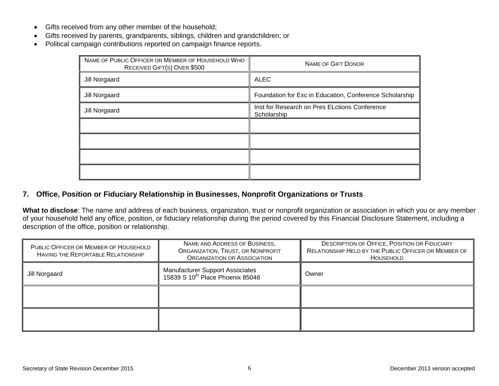- Gifts received from any other member of the household;
- Gifts received by parents, grandparents, siblings, children and grandchildren; or
- Political campaign contributions reported on campaign finance reports.

| NAME OF PUBLIC OFFICER OR MEMBER OF HOUSEHOLD WHO<br>RECEIVED GIFT(S) OVER \$500 | <b>NAME OF GIFT DONOR</b>                                    |
|----------------------------------------------------------------------------------|--------------------------------------------------------------|
| Jill Norgaard                                                                    | ALEC                                                         |
| Jill Norgaard                                                                    | Foundation for Exc in Education, Conference Scholarship      |
| Jill Norgaard                                                                    | Inst for Research on Pres ELctions Conference<br>Scholarship |
|                                                                                  |                                                              |
|                                                                                  |                                                              |
|                                                                                  |                                                              |
|                                                                                  |                                                              |

## **7. Office, Position or Fiduciary Relationship in Businesses, Nonprofit Organizations or Trusts**

**What to disclose**: The name and address of each business, organization, trust or nonprofit organization or association in which you or any member of your household held any office, position, or fiduciary relationship during the period covered by this Financial Disclosure Statement, including a description of the office, position or relationship.

| PUBLIC OFFICER OR MEMBER OF HOUSEHOLD<br>HAVING THE REPORTABLE RELATIONSHIP | NAME AND ADDRESS OF BUSINESS,<br>ORGANIZATION, TRUST, OR NONPROFIT<br><b>ORGANIZATION OR ASSOCIATION</b> | <b>DESCRIPTION OF OFFICE, POSITION OR FIDUCIARY</b><br>RELATIONSHIP HELD BY THE PUBLIC OFFICER OR MEMBER OF<br>HOUSEHOLD |
|-----------------------------------------------------------------------------|----------------------------------------------------------------------------------------------------------|--------------------------------------------------------------------------------------------------------------------------|
| Jill Norgaard                                                               | <b>Manufacturer Support Associates</b><br>15839 S 10 <sup>th</sup> Place Phoenix 85048                   | Owner                                                                                                                    |
|                                                                             |                                                                                                          |                                                                                                                          |
|                                                                             |                                                                                                          |                                                                                                                          |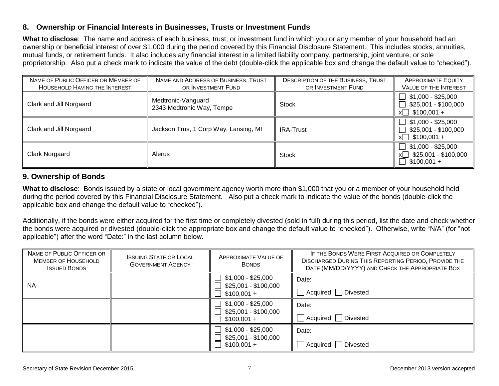#### **8. Ownership or Financial Interests in Businesses, Trusts or Investment Funds**

**What to disclose**: The name and address of each business, trust, or investment fund in which you or any member of your household had an ownership or beneficial interest of over \$1,000 during the period covered by this Financial Disclosure Statement. This includes stocks, annuities, mutual funds, or retirement funds. It also includes any financial interest in a limited liability company, partnership, joint venture, or sole proprietorship. Also put a check mark to indicate the value of the debt (double-click the applicable box and change the default value to "checked").

| NAME OF PUBLIC OFFICER OR MEMBER OF<br><b>HOUSEHOLD HAVING THE INTEREST</b> | NAME AND ADDRESS OF BUSINESS, TRUST<br>OR INVESTMENT FUND | <b>DESCRIPTION OF THE BUSINESS, TRUST</b><br>OR INVESTMENT FUND | <b>APPROXIMATE EQUITY</b><br>VALUE OF THE INTEREST               |
|-----------------------------------------------------------------------------|-----------------------------------------------------------|-----------------------------------------------------------------|------------------------------------------------------------------|
| Clark and Jill Norgaard                                                     | Medtronic-Vanguard<br>2343 Medtronic Way, Tempe           | <b>Stock</b>                                                    | $$1,000 - $25,000$<br>\$25,001 - \$100,000<br>$x$ \$100,001 +    |
| Clark and Jill Norgaard                                                     | Jackson Trus, 1 Corp Way, Lansing, MI                     | <b>IRA-Trust</b>                                                | $$1,000 - $25,000$<br>\$25,001 - \$100,000<br>$$100,001 +$<br>xl |
| Clark Norgaard                                                              | Alerus                                                    | <b>Stock</b>                                                    | $$1,000 - $25,000$<br>\$25,001 - \$100,000<br>xl<br>$$100,001 +$ |

## **9. Ownership of Bonds**

**What to disclose**: Bonds issued by a state or local government agency worth more than \$1,000 that you or a member of your household held during the period covered by this Financial Disclosure Statement. Also put a check mark to indicate the value of the bonds (double-click the applicable box and change the default value to "checked").

Additionally, if the bonds were either acquired for the first time or completely divested (sold in full) during this period, list the date and check whether the bonds were acquired or divested (double-click the appropriate box and change the default value to "checked"). Otherwise, write "N/A" (for "not applicable") after the word "Date:" in the last column below.

| NAME OF PUBLIC OFFICER OR<br><b>MEMBER OF HOUSEHOLD</b><br><b>ISSUED BONDS</b> | <b>ISSUING STATE OR LOCAL</b><br><b>GOVERNMENT AGENCY</b> | <b>APPROXIMATE VALUE OF</b><br><b>BONDS</b>                                     | IF THE BONDS WERE FIRST ACQUIRED OR COMPLETELY<br><b>DISCHARGED DURING THIS REPORTING PERIOD, PROVIDE THE</b><br>DATE (MM/DD/YYYY) AND CHECK THE APPROPRIATE BOX |
|--------------------------------------------------------------------------------|-----------------------------------------------------------|---------------------------------------------------------------------------------|------------------------------------------------------------------------------------------------------------------------------------------------------------------|
| <b>NA</b>                                                                      |                                                           | \$1,000 - \$25,000<br>$\perp$<br>\$25,001 - \$100,000<br>$$100,001 +$<br>$\Box$ | Date:<br>Acquired Divested                                                                                                                                       |
|                                                                                |                                                           | $$1,000 - $25,000$<br>$\perp$<br>\$25,001 - \$100,000<br>$$100,001 +$           | Date:<br>Acquired Divested                                                                                                                                       |
|                                                                                |                                                           | $\perp$<br>\$1,000 - \$25,000<br>\$25,001 - \$100,000<br>$\Box$ \$100,001 +     | Date:<br>Divested<br>Acquired                                                                                                                                    |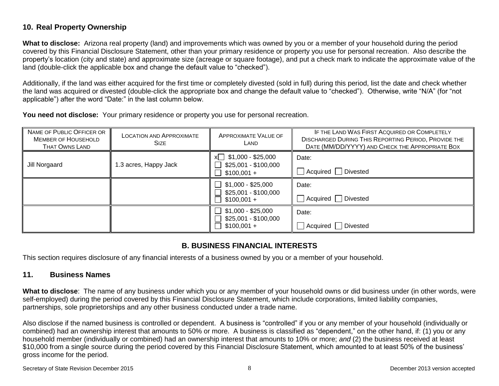## **10. Real Property Ownership**

**What to disclose:** Arizona real property (land) and improvements which was owned by you or a member of your household during the period covered by this Financial Disclosure Statement, other than your primary residence or property you use for personal recreation. Also describe the property's location (city and state) and approximate size (acreage or square footage), and put a check mark to indicate the approximate value of the land (double-click the applicable box and change the default value to "checked").

Additionally, if the land was either acquired for the first time or completely divested (sold in full) during this period, list the date and check whether the land was acquired or divested (double-click the appropriate box and change the default value to "checked"). Otherwise, write "N/A" (for "not applicable") after the word "Date:" in the last column below.

**You need not disclose:** Your primary residence or property you use for personal recreation.

| NAME OF PUBLIC OFFICER OR<br><b>MEMBER OF HOUSEHOLD</b><br><b>THAT OWNS LAND</b> | <b>LOCATION AND APPROXIMATE</b><br><b>SIZE</b> | <b>APPROXIMATE VALUE OF</b><br>LAND                                    | IF THE LAND WAS FIRST ACQUIRED OR COMPLETELY<br><b>DISCHARGED DURING THIS REPORTING PERIOD, PROVIDE THE</b><br>DATE (MM/DD/YYYY) AND CHECK THE APPROPRIATE BOX |
|----------------------------------------------------------------------------------|------------------------------------------------|------------------------------------------------------------------------|----------------------------------------------------------------------------------------------------------------------------------------------------------------|
| Jill Norgaard                                                                    | 1.3 acres, Happy Jack                          | $x \square$ \$1,000 - \$25,000<br>\$25,001 - \$100,000<br>$$100,001 +$ | Date:<br>Acquired   Divested                                                                                                                                   |
|                                                                                  |                                                | \$1,000 - \$25,000<br>\$25,001 - \$100,000<br>$$100,001 +$             | Date:<br>Acquired Divested                                                                                                                                     |
|                                                                                  |                                                | $$1,000 - $25,000$<br>\$25,001 - \$100,000<br>$$100,001 +$             | Date:<br>Acquired   Divested                                                                                                                                   |

## **B. BUSINESS FINANCIAL INTERESTS**

This section requires disclosure of any financial interests of a business owned by you or a member of your household.

## **11. Business Names**

**What to disclose**: The name of any business under which you or any member of your household owns or did business under (in other words, were self-employed) during the period covered by this Financial Disclosure Statement, which include corporations, limited liability companies, partnerships, sole proprietorships and any other business conducted under a trade name.

Also disclose if the named business is controlled or dependent. A business is "controlled" if you or any member of your household (individually or combined) had an ownership interest that amounts to 50% or more. A business is classified as "dependent," on the other hand, if: (1) you or any household member (individually or combined) had an ownership interest that amounts to 10% or more; *and* (2) the business received at least \$10,000 from a single source during the period covered by this Financial Disclosure Statement, which amounted to at least 50% of the business' gross income for the period.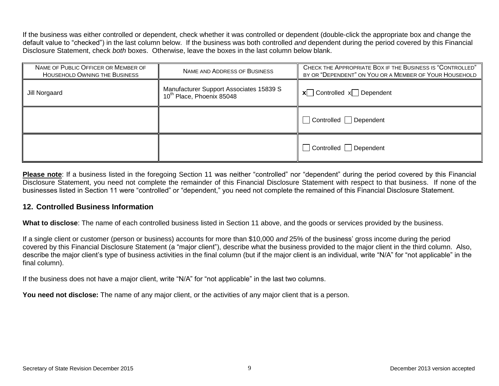If the business was either controlled or dependent, check whether it was controlled or dependent (double-click the appropriate box and change the default value to "checked") in the last column below. If the business was both controlled *and* dependent during the period covered by this Financial Disclosure Statement, check *both* boxes. Otherwise, leave the boxes in the last column below blank.

| NAME OF PUBLIC OFFICER OR MEMBER OF<br><b>HOUSEHOLD OWNING THE BUSINESS</b> | NAME AND ADDRESS OF BUSINESS                                                     | CHECK THE APPROPRIATE BOX IF THE BUSINESS IS "CONTROLLED"<br>BY OR "DEPENDENT" ON YOU OR A MEMBER OF YOUR HOUSEHOLD |  |
|-----------------------------------------------------------------------------|----------------------------------------------------------------------------------|---------------------------------------------------------------------------------------------------------------------|--|
| Jill Norgaard                                                               | Manufacturer Support Associates 15839 S<br>10 <sup>th</sup> Place, Phoenix 85048 | $x$ Controlled $x$ Dependent                                                                                        |  |
|                                                                             |                                                                                  | Controlled Dependent                                                                                                |  |
|                                                                             |                                                                                  | Controlled Dependent                                                                                                |  |

**Please note**: If a business listed in the foregoing Section 11 was neither "controlled" nor "dependent" during the period covered by this Financial Disclosure Statement, you need not complete the remainder of this Financial Disclosure Statement with respect to that business. If none of the businesses listed in Section 11 were "controlled" or "dependent," you need not complete the remained of this Financial Disclosure Statement.

## **12. Controlled Business Information**

**What to disclose**: The name of each controlled business listed in Section 11 above, and the goods or services provided by the business.

If a single client or customer (person or business) accounts for more than \$10,000 *and* 25% of the business' gross income during the period covered by this Financial Disclosure Statement (a "major client"), describe what the business provided to the major client in the third column. Also, describe the major client's type of business activities in the final column (but if the major client is an individual, write "N/A" for "not applicable" in the final column).

If the business does not have a major client, write "N/A" for "not applicable" in the last two columns.

You need not disclose: The name of any major client, or the activities of any major client that is a person.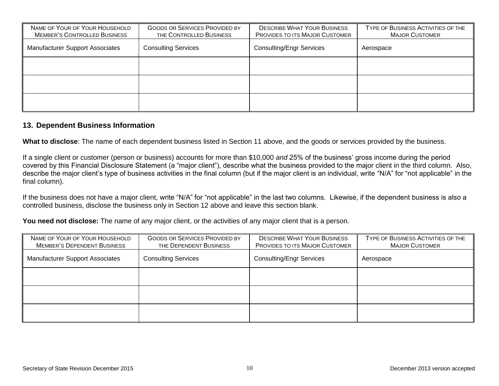| NAME OF YOUR OF YOUR HOUSEHOLD<br><b>MEMBER'S CONTROLLED BUSINESS</b> | <b>GOODS OR SERVICES PROVIDED BY</b><br>THE CONTROLLED BUSINESS | <b>DESCRIBE WHAT YOUR BUSINESS</b><br>PROVIDES TO ITS MAJOR CUSTOMER | TYPE OF BUSINESS ACTIVITIES OF THE<br><b>MAJOR CUSTOMER</b> |
|-----------------------------------------------------------------------|-----------------------------------------------------------------|----------------------------------------------------------------------|-------------------------------------------------------------|
| <b>Manufacturer Support Associates</b>                                | <b>Consulting Services</b>                                      | <b>Consulting/Engr Services</b>                                      | Aerospace                                                   |
|                                                                       |                                                                 |                                                                      |                                                             |
|                                                                       |                                                                 |                                                                      |                                                             |
|                                                                       |                                                                 |                                                                      |                                                             |

#### **13. Dependent Business Information**

**What to disclose**: The name of each dependent business listed in Section 11 above, and the goods or services provided by the business.

If a single client or customer (person or business) accounts for more than \$10,000 *and* 25% of the business' gross income during the period covered by this Financial Disclosure Statement (a "major client"), describe what the business provided to the major client in the third column. Also, describe the major client's type of business activities in the final column (but if the major client is an individual, write "N/A" for "not applicable" in the final column).

If the business does not have a major client, write "N/A" for "not applicable" in the last two columns. Likewise, if the dependent business is also a controlled business, disclose the business only in Section 12 above and leave this section blank.

**You need not disclose:** The name of any major client, or the activities of any major client that is a person.

| NAME OF YOUR OF YOUR HOUSEHOLD<br><b>MEMBER'S DEPENDENT BUSINESS</b> | <b>GOODS OR SERVICES PROVIDED BY</b><br>THE DEPENDENT BUSINESS | <b>DESCRIBE WHAT YOUR BUSINESS</b><br>PROVIDES TO ITS MAJOR CUSTOMER | TYPE OF BUSINESS ACTIVITIES OF THE<br><b>MAJOR CUSTOMER</b> |
|----------------------------------------------------------------------|----------------------------------------------------------------|----------------------------------------------------------------------|-------------------------------------------------------------|
| <b>Manufacturer Support Associates</b>                               | <b>Consulting Services</b>                                     | <b>Consulting/Engr Services</b>                                      | Aerospace                                                   |
|                                                                      |                                                                |                                                                      |                                                             |
|                                                                      |                                                                |                                                                      |                                                             |
|                                                                      |                                                                |                                                                      |                                                             |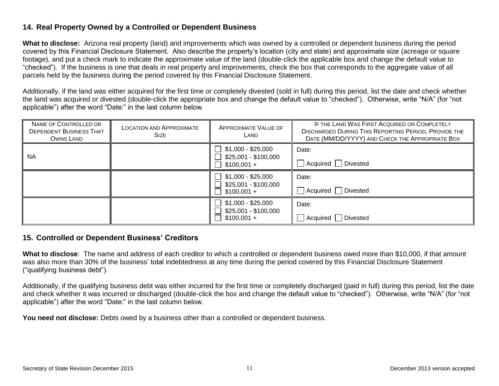## **14. Real Property Owned by a Controlled or Dependent Business**

**What to disclose:** Arizona real property (land) and improvements which was owned by a controlled or dependent business during the period covered by this Financial Disclosure Statement. Also describe the property's location (city and state) and approximate size (acreage or square footage), and put a check mark to indicate the approximate value of the land (double-click the applicable box and change the default value to "checked"). If the business is one that deals in real property and improvements, check the box that corresponds to the aggregate value of all parcels held by the business during the period covered by this Financial Disclosure Statement.

Additionally, if the land was either acquired for the first time or completely divested (sold in full) during this period, list the date and check whether the land was acquired or divested (double-click the appropriate box and change the default value to "checked"). Otherwise, write "N/A" (for "not applicable") after the word "Date:" in the last column below.

| NAME OF CONTROLLED OR<br><b>DEPENDENT BUSINESS THAT</b><br>OWNS LAND | <b>LOCATION AND APPROXIMATE</b><br><b>SIZE</b> | APPROXIMATE VALUE OF<br>LAND                               | IF THE LAND WAS FIRST ACQUIRED OR COMPLETELY<br><b>DISCHARGED DURING THIS REPORTING PERIOD, PROVIDE THE</b><br>DATE (MM/DD/YYYY) AND CHECK THE APPROPRIATE BOX |
|----------------------------------------------------------------------|------------------------------------------------|------------------------------------------------------------|----------------------------------------------------------------------------------------------------------------------------------------------------------------|
| <b>NA</b>                                                            |                                                | \$1,000 - \$25,000<br>\$25,001 - \$100,000<br>$$100,001 +$ | Date:<br>Acquired Divested                                                                                                                                     |
|                                                                      |                                                | $$1,000 - $25,000$<br>\$25,001 - \$100,000<br>$$100,001 +$ | Date:<br>Acquired Divested                                                                                                                                     |
|                                                                      |                                                | \$1,000 - \$25,000<br>\$25,001 - \$100,000<br>$$100,001 +$ | Date:<br>△ Acquired △ Divested                                                                                                                                 |

#### **15. Controlled or Dependent Business' Creditors**

**What to disclose**: The name and address of each creditor to which a controlled or dependent business owed more than \$10,000, if that amount was also more than 30% of the business' total indebtedness at any time during the period covered by this Financial Disclosure Statement ("qualifying business debt").

Additionally, if the qualifying business debt was either incurred for the first time or completely discharged (paid in full) during this period, list the date and check whether it was incurred or discharged (double-click the box and change the default value to "checked"). Otherwise, write "N/A" (for "not applicable") after the word "Date:" in the last column below.

**You need not disclose:** Debts owed by a business other than a controlled or dependent business.